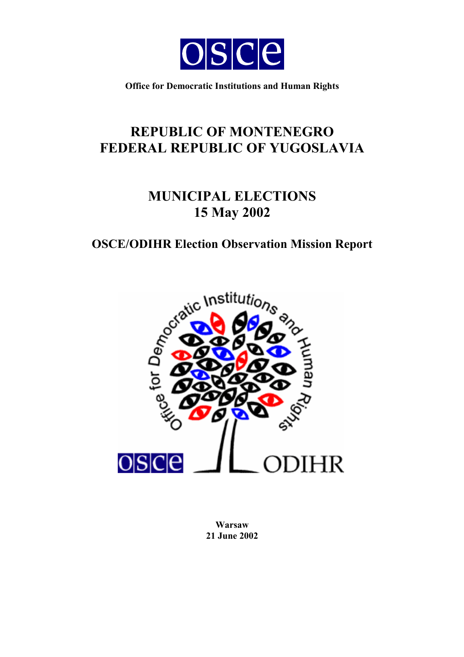

**Office for Democratic Institutions and Human Rights** 

# **REPUBLIC OF MONTENEGRO FEDERAL REPUBLIC OF YUGOSLAVIA**

# **MUNICIPAL ELECTIONS 15 May 2002**

## **OSCE/ODIHR Election Observation Mission Report**



**Warsaw 21 June 2002**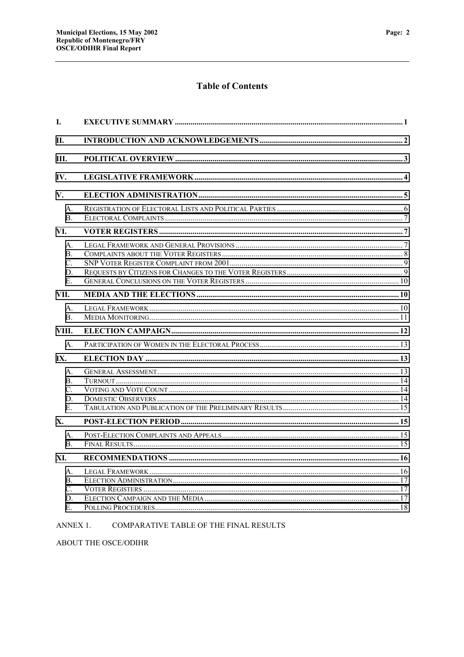### **Table of Contents**

| L.                                         |  |
|--------------------------------------------|--|
| П.                                         |  |
| III.                                       |  |
| IV.                                        |  |
| V.                                         |  |
| A.<br>$\mathbf{B}$ .                       |  |
| VI.                                        |  |
| А.<br><b>B.</b><br>$C_{\cdot}$<br>D.<br>Е. |  |
| VII.                                       |  |
| $A_{\cdot}$<br><b>B.</b>                   |  |
| VIII.                                      |  |
| $\mathsf{A}$ .                             |  |
| IX.                                        |  |
| А.<br>B.<br>C.<br>D.<br>$E_{\cdot}$        |  |
| X.                                         |  |
| A.<br>$\mathbf{B}$ .                       |  |
| XI.                                        |  |
| А.<br>B.<br>C.<br>D.<br>E.                 |  |

#### ANNEX 1. COMPARATIVE TABLE OF THE FINAL RESULTS

ABOUT THE OSCE/ODIHR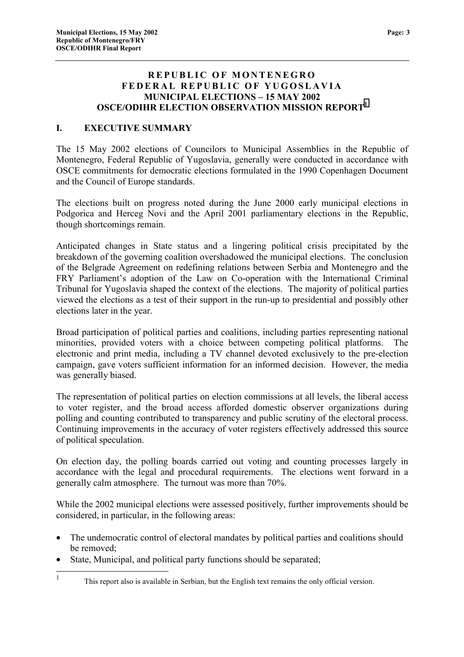#### **REPUBLIC OF MONTENEGRO FEDERAL REPUBLIC OF YUGOSLAVIA MUNICIPAL ELECTIONS – 15 MAY 2002 OSCE/ODIHR ELECTION OBSERVATION MISSION REPORT<sup>1</sup>**

#### **I. EXECUTIVE SUMMARY**

The 15 May 2002 elections of Councilors to Municipal Assemblies in the Republic of Montenegro, Federal Republic of Yugoslavia, generally were conducted in accordance with OSCE commitments for democratic elections formulated in the 1990 Copenhagen Document and the Council of Europe standards.

The elections built on progress noted during the June 2000 early municipal elections in Podgorica and Herceg Novi and the April 2001 parliamentary elections in the Republic, though shortcomings remain.

Anticipated changes in State status and a lingering political crisis precipitated by the breakdown of the governing coalition overshadowed the municipal elections. The conclusion of the Belgrade Agreement on redefining relations between Serbia and Montenegro and the FRY Parliament's adoption of the Law on Co-operation with the International Criminal Tribunal for Yugoslavia shaped the context of the elections. The majority of political parties viewed the elections as a test of their support in the run-up to presidential and possibly other elections later in the year.

Broad participation of political parties and coalitions, including parties representing national minorities, provided voters with a choice between competing political platforms. The electronic and print media, including a TV channel devoted exclusively to the pre-election campaign, gave voters sufficient information for an informed decision. However, the media was generally biased.

The representation of political parties on election commissions at all levels, the liberal access to voter register, and the broad access afforded domestic observer organizations during polling and counting contributed to transparency and public scrutiny of the electoral process. Continuing improvements in the accuracy of voter registers effectively addressed this source of political speculation.

On election day, the polling boards carried out voting and counting processes largely in accordance with the legal and procedural requirements. The elections went forward in a generally calm atmosphere. The turnout was more than 70%.

While the 2002 municipal elections were assessed positively, further improvements should be considered, in particular, in the following areas:

- The undemocratic control of electoral mandates by political parties and coalitions should be removed;
- State, Municipal, and political party functions should be separated;

 $\frac{1}{1}$ This report also is available in Serbian, but the English text remains the only official version.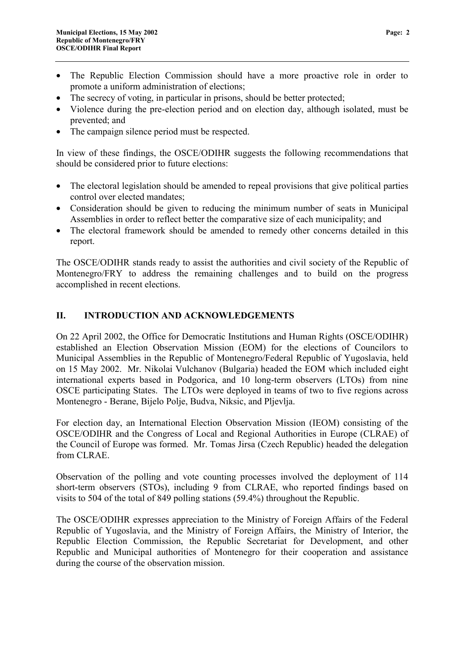- <span id="page-3-0"></span>• The Republic Election Commission should have a more proactive role in order to promote a uniform administration of elections;
- The secrecy of voting, in particular in prisons, should be better protected;
- Violence during the pre-election period and on election day, although isolated, must be prevented; and
- The campaign silence period must be respected.

In view of these findings, the OSCE/ODIHR suggests the following recommendations that should be considered prior to future elections:

- The electoral legislation should be amended to repeal provisions that give political parties control over elected mandates;
- Consideration should be given to reducing the minimum number of seats in Municipal Assemblies in order to reflect better the comparative size of each municipality; and
- The electoral framework should be amended to remedy other concerns detailed in this report.

The OSCE/ODIHR stands ready to assist the authorities and civil society of the Republic of Montenegro/FRY to address the remaining challenges and to build on the progress accomplished in recent elections.

#### **II. INTRODUCTION AND ACKNOWLEDGEMENTS**

On 22 April 2002, the Office for Democratic Institutions and Human Rights (OSCE/ODIHR) established an Election Observation Mission (EOM) for the elections of Councilors to Municipal Assemblies in the Republic of Montenegro/Federal Republic of Yugoslavia, held on 15 May 2002. Mr. Nikolai Vulchanov (Bulgaria) headed the EOM which included eight international experts based in Podgorica, and 10 long-term observers (LTOs) from nine OSCE participating States. The LTOs were deployed in teams of two to five regions across Montenegro - Berane, Bijelo Polje, Budva, Niksic, and Pljevlja.

For election day, an International Election Observation Mission (IEOM) consisting of the OSCE/ODIHR and the Congress of Local and Regional Authorities in Europe (CLRAE) of the Council of Europe was formed. Mr. Tomas Jirsa (Czech Republic) headed the delegation from CLRAE.

Observation of the polling and vote counting processes involved the deployment of 114 short-term observers (STOs), including 9 from CLRAE, who reported findings based on visits to 504 of the total of 849 polling stations (59.4%) throughout the Republic.

The OSCE/ODIHR expresses appreciation to the Ministry of Foreign Affairs of the Federal Republic of Yugoslavia, and the Ministry of Foreign Affairs, the Ministry of Interior, the Republic Election Commission, the Republic Secretariat for Development, and other Republic and Municipal authorities of Montenegro for their cooperation and assistance during the course of the observation mission.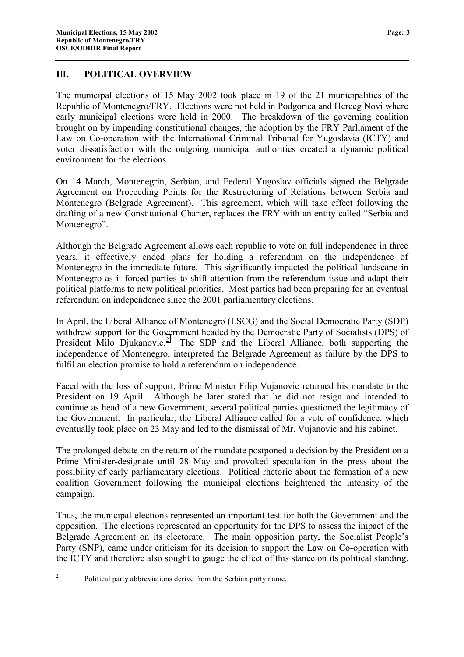#### <span id="page-4-0"></span>**I**I**I. POLITICAL OVERVIEW**

The municipal elections of 15 May 2002 took place in 19 of the 21 municipalities of the Republic of Montenegro/FRY. Elections were not held in Podgorica and Herceg Novi where early municipal elections were held in 2000. The breakdown of the governing coalition brought on by impending constitutional changes, the adoption by the FRY Parliament of the Law on Co-operation with the International Criminal Tribunal for Yugoslavia (ICTY) and voter dissatisfaction with the outgoing municipal authorities created a dynamic political environment for the elections.

On 14 March, Montenegrin, Serbian, and Federal Yugoslav officials signed the Belgrade Agreement on Proceeding Points for the Restructuring of Relations between Serbia and Montenegro (Belgrade Agreement). This agreement, which will take effect following the drafting of a new Constitutional Charter, replaces the FRY with an entity called "Serbia and Montenegro".

Although the Belgrade Agreement allows each republic to vote on full independence in three years, it effectively ended plans for holding a referendum on the independence of Montenegro in the immediate future. This significantly impacted the political landscape in Montenegro as it forced parties to shift attention from the referendum issue and adapt their political platforms to new political priorities. Most parties had been preparing for an eventual referendum on independence since the 2001 parliamentary elections.

In April, the Liberal Alliance of Montenegro (LSCG) and the Social Democratic Party (SDP) withdrew support for the Government headed by the Democratic Party of Socialists (DPS) of President Milo Djukanovic.<sup>2</sup> The SDP and the Liberal Alliance, both supporting the independence of Montenegro, interpreted the Belgrade Agreement as failure by the DPS to fulfil an election promise to hold a referendum on independence.

Faced with the loss of support, Prime Minister Filip Vujanovic returned his mandate to the President on 19 April. Although he later stated that he did not resign and intended to continue as head of a new Government, several political parties questioned the legitimacy of the Government. In particular, the Liberal Alliance called for a vote of confidence, which eventually took place on 23 May and led to the dismissal of Mr. Vujanovic and his cabinet.

The prolonged debate on the return of the mandate postponed a decision by the President on a Prime Minister-designate until 28 May and provoked speculation in the press about the possibility of early parliamentary elections. Political rhetoric about the formation of a new coalition Government following the municipal elections heightened the intensity of the campaign.

Thus, the municipal elections represented an important test for both the Government and the opposition. The elections represented an opportunity for the DPS to assess the impact of the Belgrade Agreement on its electorate. The main opposition party, the Socialist People's Party (SNP), came under criticism for its decision to support the Law on Co-operation with the ICTY and therefore also sought to gauge the effect of this stance on its political standing.

 **2** Political party abbreviations derive from the Serbian party name.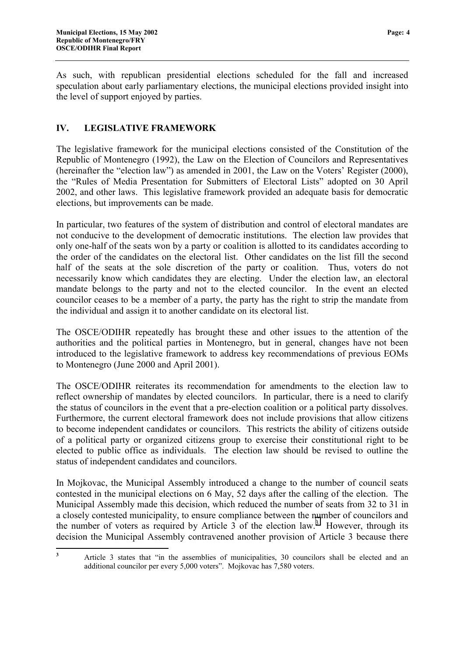<span id="page-5-0"></span>As such, with republican presidential elections scheduled for the fall and increased speculation about early parliamentary elections, the municipal elections provided insight into the level of support enjoyed by parties.

#### **IV. LEGISLATIVE FRAMEWORK**

The legislative framework for the municipal elections consisted of the Constitution of the Republic of Montenegro (1992), the Law on the Election of Councilors and Representatives (hereinafter the "election law") as amended in 2001, the Law on the Voters' Register (2000), the "Rules of Media Presentation for Submitters of Electoral Lists" adopted on 30 April 2002, and other laws. This legislative framework provided an adequate basis for democratic elections, but improvements can be made.

In particular, two features of the system of distribution and control of electoral mandates are not conducive to the development of democratic institutions. The election law provides that only one-half of the seats won by a party or coalition is allotted to its candidates according to the order of the candidates on the electoral list. Other candidates on the list fill the second half of the seats at the sole discretion of the party or coalition. Thus, voters do not necessarily know which candidates they are electing. Under the election law, an electoral mandate belongs to the party and not to the elected councilor. In the event an elected councilor ceases to be a member of a party, the party has the right to strip the mandate from the individual and assign it to another candidate on its electoral list.

The OSCE/ODIHR repeatedly has brought these and other issues to the attention of the authorities and the political parties in Montenegro, but in general, changes have not been introduced to the legislative framework to address key recommendations of previous EOMs to Montenegro (June 2000 and April 2001).

The OSCE/ODIHR reiterates its recommendation for amendments to the election law to reflect ownership of mandates by elected councilors. In particular, there is a need to clarify the status of councilors in the event that a pre-election coalition or a political party dissolves. Furthermore, the current electoral framework does not include provisions that allow citizens to become independent candidates or councilors. This restricts the ability of citizens outside of a political party or organized citizens group to exercise their constitutional right to be elected to public office as individuals. The election law should be revised to outline the status of independent candidates and councilors.

In Mojkovac, the Municipal Assembly introduced a change to the number of council seats contested in the municipal elections on 6 May, 52 days after the calling of the election. The Municipal Assembly made this decision, which reduced the number of seats from 32 to 31 in a closely contested municipality, to ensure compliance between the number of councilors and the number of voters as required by Article  $\overline{3}$  of the election law.<sup>3</sup> However, through its decision the Municipal Assembly contravened another provision of Article 3 because there

**3**

Article 3 states that "in the assemblies of municipalities, 30 councilors shall be elected and an additional councilor per every 5,000 voters". Mojkovac has 7,580 voters.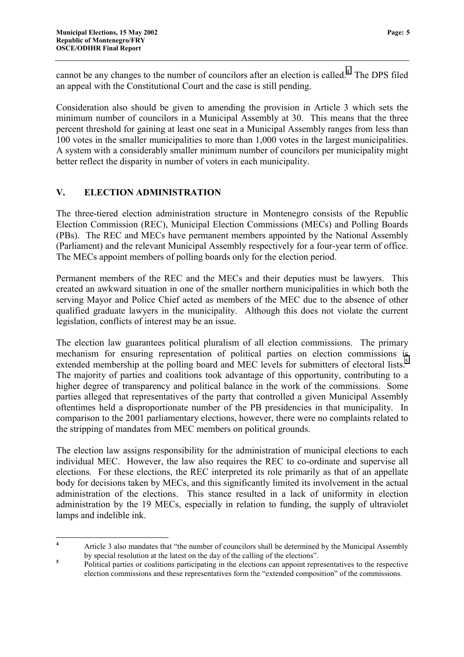<span id="page-6-0"></span>cannot be any changes to the number of councilors after an election is called.<sup>4</sup> The DPS filed an appeal with the Constitutional Court and the case is still pending.

Consideration also should be given to amending the provision in Article 3 which sets the minimum number of councilors in a Municipal Assembly at 30. This means that the three percent threshold for gaining at least one seat in a Municipal Assembly ranges from less than 100 votes in the smaller municipalities to more than 1,000 votes in the largest municipalities. A system with a considerably smaller minimum number of councilors per municipality might better reflect the disparity in number of voters in each municipality.

#### **V. ELECTION ADMINISTRATION**

The three-tiered election administration structure in Montenegro consists of the Republic Election Commission (REC), Municipal Election Commissions (MECs) and Polling Boards (PBs). The REC and MECs have permanent members appointed by the National Assembly (Parliament) and the relevant Municipal Assembly respectively for a four-year term of office. The MECs appoint members of polling boards only for the election period.

Permanent members of the REC and the MECs and their deputies must be lawyers. This created an awkward situation in one of the smaller northern municipalities in which both the serving Mayor and Police Chief acted as members of the MEC due to the absence of other qualified graduate lawyers in the municipality. Although this does not violate the current legislation, conflicts of interest may be an issue.

The election law guarantees political pluralism of all election commissions. The primary mechanism for ensuring representation of political parties on election commissions is extended membership at the polling board and MEC levels for submitters of electoral lists.<sup>5</sup> The majority of parties and coalitions took advantage of this opportunity, contributing to a higher degree of transparency and political balance in the work of the commissions. Some parties alleged that representatives of the party that controlled a given Municipal Assembly oftentimes held a disproportionate number of the PB presidencies in that municipality. In comparison to the 2001 parliamentary elections, however, there were no complaints related to the stripping of mandates from MEC members on political grounds.

The election law assigns responsibility for the administration of municipal elections to each individual MEC. However, the law also requires the REC to co-ordinate and supervise all elections. For these elections, the REC interpreted its role primarily as that of an appellate body for decisions taken by MECs, and this significantly limited its involvement in the actual administration of the elections. This stance resulted in a lack of uniformity in election administration by the 19 MECs, especially in relation to funding, the supply of ultraviolet lamps and indelible ink.

 **4** Article 3 also mandates that "the number of councilors shall be determined by the Municipal Assembly by special resolution at the latest on the day of the calling of the elections". **<sup>5</sup>**

Political parties or coalitions participating in the elections can appoint representatives to the respective election commissions and these representatives form the "extended composition" of the commissions.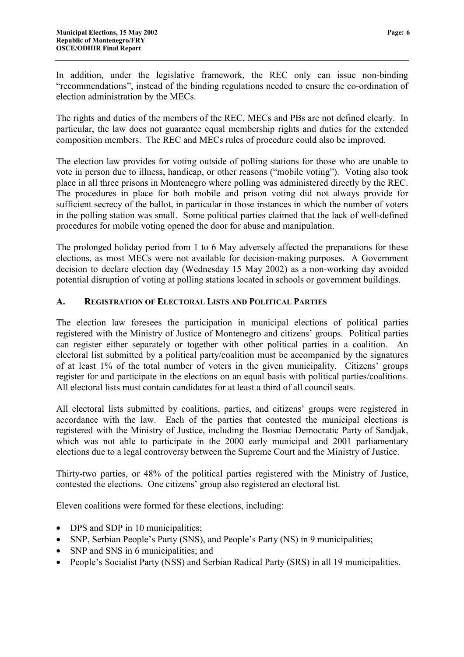<span id="page-7-0"></span>In addition, under the legislative framework, the REC only can issue non-binding "recommendations", instead of the binding regulations needed to ensure the co-ordination of election administration by the MECs.

The rights and duties of the members of the REC, MECs and PBs are not defined clearly. In particular, the law does not guarantee equal membership rights and duties for the extended composition members. The REC and MECs rules of procedure could also be improved.

The election law provides for voting outside of polling stations for those who are unable to vote in person due to illness, handicap, or other reasons ("mobile voting"). Voting also took place in all three prisons in Montenegro where polling was administered directly by the REC. The procedures in place for both mobile and prison voting did not always provide for sufficient secrecy of the ballot, in particular in those instances in which the number of voters in the polling station was small. Some political parties claimed that the lack of well-defined procedures for mobile voting opened the door for abuse and manipulation.

The prolonged holiday period from 1 to 6 May adversely affected the preparations for these elections, as most MECs were not available for decision-making purposes. A Government decision to declare election day (Wednesday 15 May 2002) as a non-working day avoided potential disruption of voting at polling stations located in schools or government buildings.

#### **A. REGISTRATION OF ELECTORAL LISTS AND POLITICAL PARTIES**

The election law foresees the participation in municipal elections of political parties registered with the Ministry of Justice of Montenegro and citizens' groups. Political parties can register either separately or together with other political parties in a coalition. An electoral list submitted by a political party/coalition must be accompanied by the signatures of at least 1% of the total number of voters in the given municipality. Citizens' groups register for and participate in the elections on an equal basis with political parties/coalitions. All electoral lists must contain candidates for at least a third of all council seats.

All electoral lists submitted by coalitions, parties, and citizens' groups were registered in accordance with the law. Each of the parties that contested the municipal elections is registered with the Ministry of Justice, including the Bosniac Democratic Party of Sandjak, which was not able to participate in the 2000 early municipal and 2001 parliamentary elections due to a legal controversy between the Supreme Court and the Ministry of Justice.

Thirty-two parties, or 48% of the political parties registered with the Ministry of Justice, contested the elections. One citizens' group also registered an electoral list.

Eleven coalitions were formed for these elections, including:

- DPS and SDP in 10 municipalities;
- SNP, Serbian People's Party (SNS), and People's Party (NS) in 9 municipalities;
- SNP and SNS in 6 municipalities; and
- People's Socialist Party (NSS) and Serbian Radical Party (SRS) in all 19 municipalities.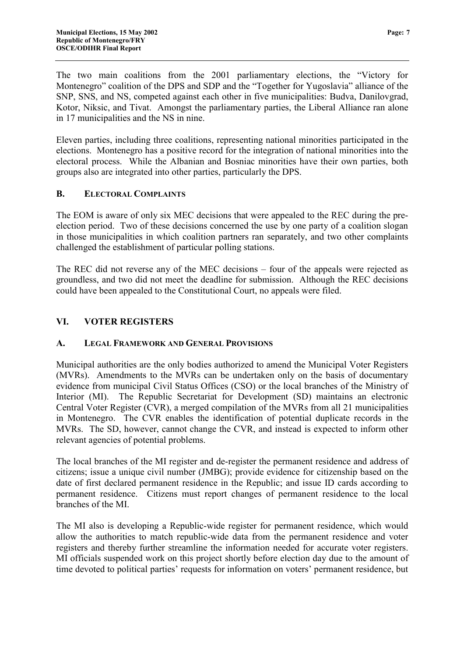<span id="page-8-0"></span>Eleven parties, including three coalitions, representing national minorities participated in the elections. Montenegro has a positive record for the integration of national minorities into the electoral process. While the Albanian and Bosniac minorities have their own parties, both groups also are integrated into other parties, particularly the DPS.

#### **B. ELECTORAL COMPLAINTS**

The EOM is aware of only six MEC decisions that were appealed to the REC during the preelection period. Two of these decisions concerned the use by one party of a coalition slogan in those municipalities in which coalition partners ran separately, and two other complaints challenged the establishment of particular polling stations.

The REC did not reverse any of the MEC decisions – four of the appeals were rejected as groundless, and two did not meet the deadline for submission. Although the REC decisions could have been appealed to the Constitutional Court, no appeals were filed.

#### **VI. VOTER REGISTERS**

#### **A. LEGAL FRAMEWORK AND GENERAL PROVISIONS**

Municipal authorities are the only bodies authorized to amend the Municipal Voter Registers (MVRs). Amendments to the MVRs can be undertaken only on the basis of documentary evidence from municipal Civil Status Offices (CSO) or the local branches of the Ministry of Interior (MI). The Republic Secretariat for Development (SD) maintains an electronic Central Voter Register (CVR), a merged compilation of the MVRs from all 21 municipalities in Montenegro. The CVR enables the identification of potential duplicate records in the MVRs. The SD, however, cannot change the CVR, and instead is expected to inform other relevant agencies of potential problems.

The local branches of the MI register and de-register the permanent residence and address of citizens; issue a unique civil number (JMBG); provide evidence for citizenship based on the date of first declared permanent residence in the Republic; and issue ID cards according to permanent residence. Citizens must report changes of permanent residence to the local branches of the MI.

The MI also is developing a Republic-wide register for permanent residence, which would allow the authorities to match republic-wide data from the permanent residence and voter registers and thereby further streamline the information needed for accurate voter registers. MI officials suspended work on this project shortly before election day due to the amount of time devoted to political parties' requests for information on voters' permanent residence, but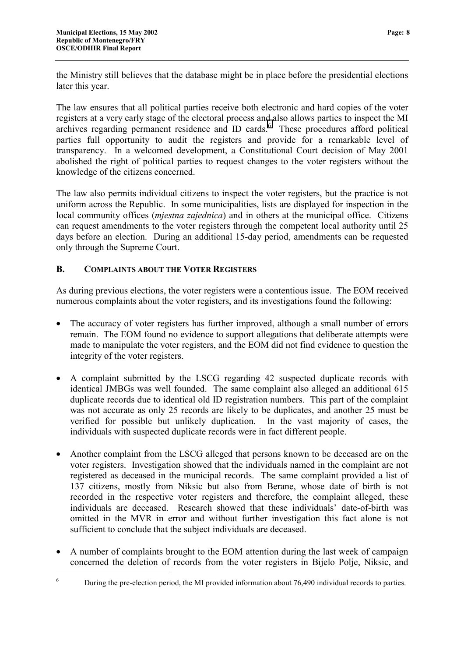<span id="page-9-0"></span>the Ministry still believes that the database might be in place before the presidential elections later this year.

The law ensures that all political parties receive both electronic and hard copies of the voter registers at a very early stage of the electoral process and also allows parties to inspect the MI archives regarding permanent residence and ID cards.<sup>6</sup> These procedures afford political parties full opportunity to audit the registers and provide for a remarkable level of transparency. In a welcomed development, a Constitutional Court decision of May 2001 abolished the right of political parties to request changes to the voter registers without the knowledge of the citizens concerned.

The law also permits individual citizens to inspect the voter registers, but the practice is not uniform across the Republic. In some municipalities, lists are displayed for inspection in the local community offices (*mjestna zajednica*) and in others at the municipal office. Citizens can request amendments to the voter registers through the competent local authority until 25 days before an election. During an additional 15-day period, amendments can be requested only through the Supreme Court.

#### **B. COMPLAINTS ABOUT THE VOTER REGISTERS**

As during previous elections, the voter registers were a contentious issue. The EOM received numerous complaints about the voter registers, and its investigations found the following:

- The accuracy of voter registers has further improved, although a small number of errors remain. The EOM found no evidence to support allegations that deliberate attempts were made to manipulate the voter registers, and the EOM did not find evidence to question the integrity of the voter registers.
- A complaint submitted by the LSCG regarding 42 suspected duplicate records with identical JMBGs was well founded. The same complaint also alleged an additional 615 duplicate records due to identical old ID registration numbers. This part of the complaint was not accurate as only 25 records are likely to be duplicates, and another 25 must be verified for possible but unlikely duplication. In the vast majority of cases, the individuals with suspected duplicate records were in fact different people.
- Another complaint from the LSCG alleged that persons known to be deceased are on the voter registers. Investigation showed that the individuals named in the complaint are not registered as deceased in the municipal records. The same complaint provided a list of 137 citizens, mostly from Niksic but also from Berane, whose date of birth is not recorded in the respective voter registers and therefore, the complaint alleged, these individuals are deceased. Research showed that these individuals' date-of-birth was omitted in the MVR in error and without further investigation this fact alone is not sufficient to conclude that the subject individuals are deceased.
- A number of complaints brought to the EOM attention during the last week of campaign concerned the deletion of records from the voter registers in Bijelo Polje, Niksic, and

 $\frac{1}{6}$ During the pre-election period, the MI provided information about 76,490 individual records to parties.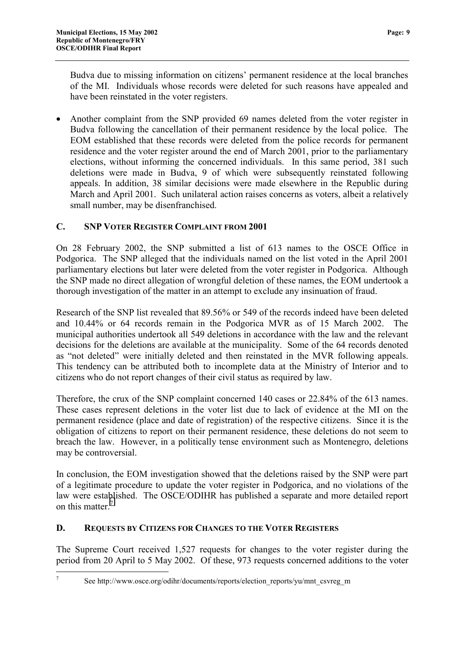<span id="page-10-0"></span>Budva due to missing information on citizens' permanent residence at the local branches of the MI. Individuals whose records were deleted for such reasons have appealed and have been reinstated in the voter registers.

• Another complaint from the SNP provided 69 names deleted from the voter register in Budva following the cancellation of their permanent residence by the local police. The EOM established that these records were deleted from the police records for permanent residence and the voter register around the end of March 2001, prior to the parliamentary elections, without informing the concerned individuals. In this same period, 381 such deletions were made in Budva, 9 of which were subsequently reinstated following appeals. In addition, 38 similar decisions were made elsewhere in the Republic during March and April 2001. Such unilateral action raises concerns as voters, albeit a relatively small number, may be disenfranchised.

#### **C. SNP VOTER REGISTER COMPLAINT FROM 2001**

On 28 February 2002, the SNP submitted a list of 613 names to the OSCE Office in Podgorica. The SNP alleged that the individuals named on the list voted in the April 2001 parliamentary elections but later were deleted from the voter register in Podgorica. Although the SNP made no direct allegation of wrongful deletion of these names, the EOM undertook a thorough investigation of the matter in an attempt to exclude any insinuation of fraud.

Research of the SNP list revealed that 89.56% or 549 of the records indeed have been deleted and 10.44% or 64 records remain in the Podgorica MVR as of 15 March 2002. The municipal authorities undertook all 549 deletions in accordance with the law and the relevant decisions for the deletions are available at the municipality. Some of the 64 records denoted as "not deleted" were initially deleted and then reinstated in the MVR following appeals. This tendency can be attributed both to incomplete data at the Ministry of Interior and to citizens who do not report changes of their civil status as required by law.

Therefore, the crux of the SNP complaint concerned 140 cases or 22.84% of the 613 names. These cases represent deletions in the voter list due to lack of evidence at the MI on the permanent residence (place and date of registration) of the respective citizens. Since it is the obligation of citizens to report on their permanent residence, these deletions do not seem to breach the law. However, in a politically tense environment such as Montenegro, deletions may be controversial.

In conclusion, the EOM investigation showed that the deletions raised by the SNP were part of a legitimate procedure to update the voter register in Podgorica, and no violations of the law were established. The OSCE/ODIHR has published a separate and more detailed report on this matter.<sup>7</sup>

#### **D. REQUESTS BY CITIZENS FOR CHANGES TO THE VOTER REGISTERS**

The Supreme Court received 1,527 requests for changes to the voter register during the period from 20 April to 5 May 2002. Of these, 973 requests concerned additions to the voter

 $\overline{a}$ 7

See http://www.osce.org/odihr/documents/reports/election\_reports/yu/mnt\_csvreg\_m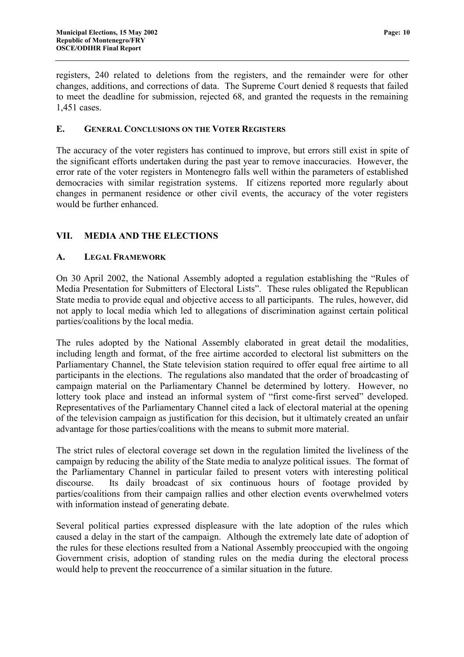<span id="page-11-0"></span>registers, 240 related to deletions from the registers, and the remainder were for other changes, additions, and corrections of data. The Supreme Court denied 8 requests that failed to meet the deadline for submission, rejected 68, and granted the requests in the remaining 1,451 cases.

#### **E. GENERAL CONCLUSIONS ON THE VOTER REGISTERS**

The accuracy of the voter registers has continued to improve, but errors still exist in spite of the significant efforts undertaken during the past year to remove inaccuracies. However, the error rate of the voter registers in Montenegro falls well within the parameters of established democracies with similar registration systems. If citizens reported more regularly about changes in permanent residence or other civil events, the accuracy of the voter registers would be further enhanced.

#### **VII. MEDIA AND THE ELECTIONS**

#### **A. LEGAL FRAMEWORK**

On 30 April 2002, the National Assembly adopted a regulation establishing the "Rules of Media Presentation for Submitters of Electoral Lists". These rules obligated the Republican State media to provide equal and objective access to all participants. The rules, however, did not apply to local media which led to allegations of discrimination against certain political parties/coalitions by the local media.

The rules adopted by the National Assembly elaborated in great detail the modalities, including length and format, of the free airtime accorded to electoral list submitters on the Parliamentary Channel, the State television station required to offer equal free airtime to all participants in the elections. The regulations also mandated that the order of broadcasting of campaign material on the Parliamentary Channel be determined by lottery. However, no lottery took place and instead an informal system of "first come-first served" developed. Representatives of the Parliamentary Channel cited a lack of electoral material at the opening of the television campaign as justification for this decision, but it ultimately created an unfair advantage for those parties/coalitions with the means to submit more material.

The strict rules of electoral coverage set down in the regulation limited the liveliness of the campaign by reducing the ability of the State media to analyze political issues. The format of the Parliamentary Channel in particular failed to present voters with interesting political discourse. Its daily broadcast of six continuous hours of footage provided by parties/coalitions from their campaign rallies and other election events overwhelmed voters with information instead of generating debate.

Several political parties expressed displeasure with the late adoption of the rules which caused a delay in the start of the campaign. Although the extremely late date of adoption of the rules for these elections resulted from a National Assembly preoccupied with the ongoing Government crisis, adoption of standing rules on the media during the electoral process would help to prevent the reoccurrence of a similar situation in the future.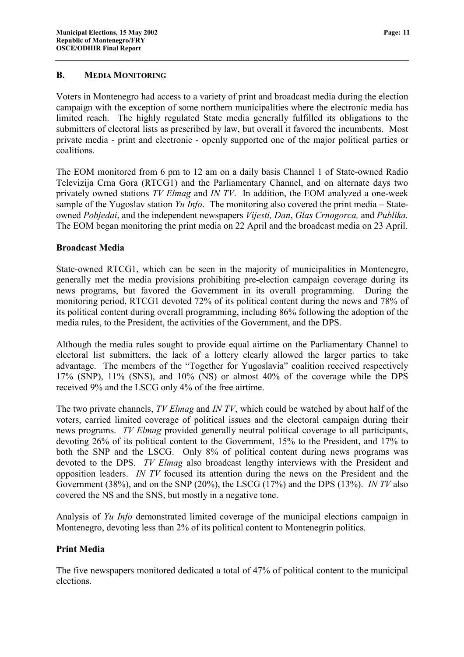#### <span id="page-12-0"></span>**B. MEDIA MONITORING**

Voters in Montenegro had access to a variety of print and broadcast media during the election campaign with the exception of some northern municipalities where the electronic media has limited reach. The highly regulated State media generally fulfilled its obligations to the submitters of electoral lists as prescribed by law, but overall it favored the incumbents. Most private media - print and electronic - openly supported one of the major political parties or coalitions.

The EOM monitored from 6 pm to 12 am on a daily basis Channel 1 of State-owned Radio Televizija Crna Gora (RTCG1) and the Parliamentary Channel, and on alternate days two privately owned stations *TV Elmag* and *IN TV*. In addition, the EOM analyzed a one-week sample of the Yugoslav station *Yu Info*. The monitoring also covered the print media – Stateowned *Pobjedai*, and the independent newspapers *Vijesti, Dan*, *Glas Crnogorca,* and *Publika.* The EOM began monitoring the print media on 22 April and the broadcast media on 23 April.

#### **Broadcast Media**

State-owned RTCG1, which can be seen in the majority of municipalities in Montenegro, generally met the media provisions prohibiting pre-election campaign coverage during its news programs, but favored the Government in its overall programming. During the monitoring period, RTCG1 devoted 72% of its political content during the news and 78% of its political content during overall programming, including 86% following the adoption of the media rules, to the President, the activities of the Government, and the DPS.

Although the media rules sought to provide equal airtime on the Parliamentary Channel to electoral list submitters, the lack of a lottery clearly allowed the larger parties to take advantage. The members of the "Together for Yugoslavia" coalition received respectively 17% (SNP), 11% (SNS), and 10% (NS) or almost 40% of the coverage while the DPS received 9% and the LSCG only 4% of the free airtime.

The two private channels, *TV Elmag* and *IN TV*, which could be watched by about half of the voters, carried limited coverage of political issues and the electoral campaign during their news programs. *TV Elmag* provided generally neutral political coverage to all participants, devoting 26% of its political content to the Government, 15% to the President, and 17% to both the SNP and the LSCG. Only 8% of political content during news programs was devoted to the DPS. *TV Elmag* also broadcast lengthy interviews with the President and opposition leaders. *IN TV* focused its attention during the news on the President and the Government (38%), and on the SNP (20%), the LSCG (17%) and the DPS (13%). *IN TV* also covered the NS and the SNS, but mostly in a negative tone.

Analysis of *Yu Info* demonstrated limited coverage of the municipal elections campaign in Montenegro, devoting less than 2% of its political content to Montenegrin politics.

#### **Print Media**

The five newspapers monitored dedicated a total of 47% of political content to the municipal elections.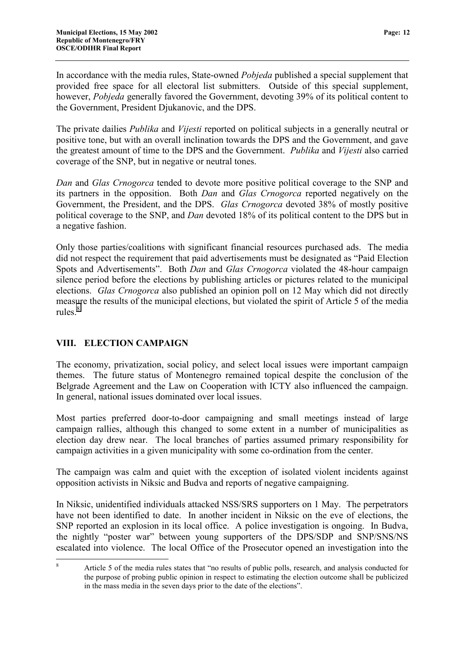<span id="page-13-0"></span>In accordance with the media rules, State-owned *Pobjeda* published a special supplement that provided free space for all electoral list submitters. Outside of this special supplement, however, *Pobjeda* generally favored the Government, devoting 39% of its political content to the Government, President Djukanovic, and the DPS.

The private dailies *Publika* and *Vijesti* reported on political subjects in a generally neutral or positive tone, but with an overall inclination towards the DPS and the Government, and gave the greatest amount of time to the DPS and the Government. *Publika* and *Vijesti* also carried coverage of the SNP, but in negative or neutral tones.

*Dan* and *Glas Crnogorca* tended to devote more positive political coverage to the SNP and its partners in the opposition. Both *Dan* and *Glas Crnogorca* reported negatively on the Government, the President, and the DPS. *Glas Crnogorca* devoted 38% of mostly positive political coverage to the SNP, and *Dan* devoted 18% of its political content to the DPS but in a negative fashion.

Only those parties/coalitions with significant financial resources purchased ads. The media did not respect the requirement that paid advertisements must be designated as "Paid Election Spots and Advertisements". Both *Dan* and *Glas Crnogorca* violated the 48-hour campaign silence period before the elections by publishing articles or pictures related to the municipal elections. *Glas Crnogorca* also published an opinion poll on 12 May which did not directly measure the results of the municipal elections, but violated the spirit of Article 5 of the media rules. $8^8$ 

#### **VIII. ELECTION CAMPAIGN**

The economy, privatization, social policy, and select local issues were important campaign themes. The future status of Montenegro remained topical despite the conclusion of the Belgrade Agreement and the Law on Cooperation with ICTY also influenced the campaign. In general, national issues dominated over local issues.

Most parties preferred door-to-door campaigning and small meetings instead of large campaign rallies, although this changed to some extent in a number of municipalities as election day drew near. The local branches of parties assumed primary responsibility for campaign activities in a given municipality with some co-ordination from the center.

The campaign was calm and quiet with the exception of isolated violent incidents against opposition activists in Niksic and Budva and reports of negative campaigning.

In Niksic, unidentified individuals attacked NSS/SRS supporters on 1 May. The perpetrators have not been identified to date. In another incident in Niksic on the eve of elections, the SNP reported an explosion in its local office. A police investigation is ongoing. In Budva, the nightly "poster war" between young supporters of the DPS/SDP and SNP/SNS/NS escalated into violence. The local Office of the Prosecutor opened an investigation into the

 8 Article 5 of the media rules states that "no results of public polls, research, and analysis conducted for the purpose of probing public opinion in respect to estimating the election outcome shall be publicized in the mass media in the seven days prior to the date of the elections".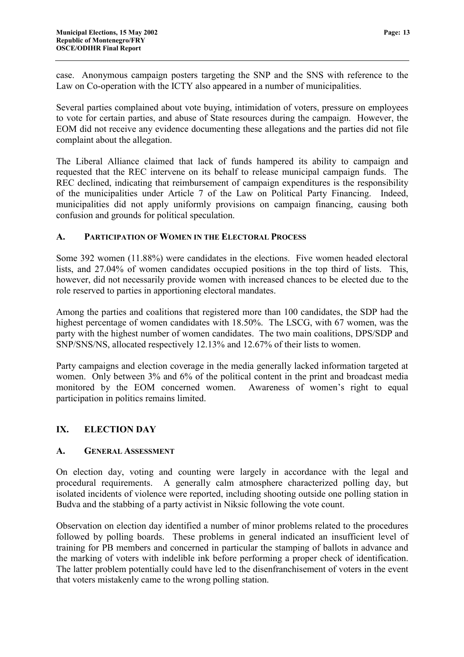<span id="page-14-0"></span>case. Anonymous campaign posters targeting the SNP and the SNS with reference to the Law on Co-operation with the ICTY also appeared in a number of municipalities.

Several parties complained about vote buying, intimidation of voters, pressure on employees to vote for certain parties, and abuse of State resources during the campaign. However, the EOM did not receive any evidence documenting these allegations and the parties did not file complaint about the allegation.

The Liberal Alliance claimed that lack of funds hampered its ability to campaign and requested that the REC intervene on its behalf to release municipal campaign funds. The REC declined, indicating that reimbursement of campaign expenditures is the responsibility of the municipalities under Article 7 of the Law on Political Party Financing. Indeed, municipalities did not apply uniformly provisions on campaign financing, causing both confusion and grounds for political speculation.

#### **A. PARTICIPATION OF WOMEN IN THE ELECTORAL PROCESS**

Some 392 women (11.88%) were candidates in the elections. Five women headed electoral lists, and 27.04% of women candidates occupied positions in the top third of lists. This, however, did not necessarily provide women with increased chances to be elected due to the role reserved to parties in apportioning electoral mandates.

Among the parties and coalitions that registered more than 100 candidates, the SDP had the highest percentage of women candidates with 18.50%. The LSCG, with 67 women, was the party with the highest number of women candidates. The two main coalitions, DPS/SDP and SNP/SNS/NS, allocated respectively 12.13% and 12.67% of their lists to women.

Party campaigns and election coverage in the media generally lacked information targeted at women. Only between 3% and 6% of the political content in the print and broadcast media monitored by the EOM concerned women. Awareness of women's right to equal participation in politics remains limited.

#### **IX. ELECTION DAY**

#### **A. GENERAL ASSESSMENT**

On election day, voting and counting were largely in accordance with the legal and procedural requirements. A generally calm atmosphere characterized polling day, but isolated incidents of violence were reported, including shooting outside one polling station in Budva and the stabbing of a party activist in Niksic following the vote count.

Observation on election day identified a number of minor problems related to the procedures followed by polling boards. These problems in general indicated an insufficient level of training for PB members and concerned in particular the stamping of ballots in advance and the marking of voters with indelible ink before performing a proper check of identification. The latter problem potentially could have led to the disenfranchisement of voters in the event that voters mistakenly came to the wrong polling station.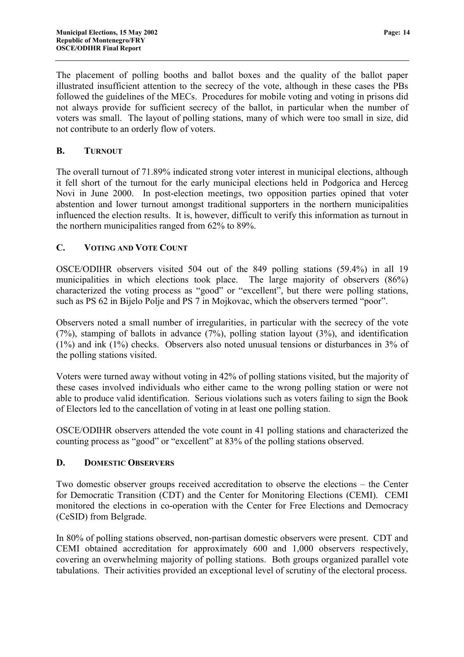<span id="page-15-0"></span>The placement of polling booths and ballot boxes and the quality of the ballot paper illustrated insufficient attention to the secrecy of the vote, although in these cases the PBs followed the guidelines of the MECs. Procedures for mobile voting and voting in prisons did not always provide for sufficient secrecy of the ballot, in particular when the number of voters was small. The layout of polling stations, many of which were too small in size, did not contribute to an orderly flow of voters.

#### **B. TURNOUT**

The overall turnout of 71.89% indicated strong voter interest in municipal elections, although it fell short of the turnout for the early municipal elections held in Podgorica and Herceg Novi in June 2000. In post-election meetings, two opposition parties opined that voter abstention and lower turnout amongst traditional supporters in the northern municipalities influenced the election results. It is, however, difficult to verify this information as turnout in the northern municipalities ranged from 62% to 89%.

#### **C. VOTING AND VOTE COUNT**

OSCE/ODIHR observers visited 504 out of the 849 polling stations (59.4%) in all 19 municipalities in which elections took place. The large majority of observers (86%) characterized the voting process as "good" or "excellent", but there were polling stations, such as PS 62 in Bijelo Polje and PS 7 in Mojkovac, which the observers termed "poor".

Observers noted a small number of irregularities, in particular with the secrecy of the vote (7%), stamping of ballots in advance (7%), polling station layout (3%), and identification (1%) and ink (1%) checks. Observers also noted unusual tensions or disturbances in 3% of the polling stations visited.

Voters were turned away without voting in 42% of polling stations visited, but the majority of these cases involved individuals who either came to the wrong polling station or were not able to produce valid identification. Serious violations such as voters failing to sign the Book of Electors led to the cancellation of voting in at least one polling station.

OSCE/ODIHR observers attended the vote count in 41 polling stations and characterized the counting process as "good" or "excellent" at 83% of the polling stations observed.

#### **D. DOMESTIC OBSERVERS**

Two domestic observer groups received accreditation to observe the elections – the Center for Democratic Transition (CDT) and the Center for Monitoring Elections (CEMI). CEMI monitored the elections in co-operation with the Center for Free Elections and Democracy (CeSID) from Belgrade.

In 80% of polling stations observed, non-partisan domestic observers were present. CDT and CEMI obtained accreditation for approximately 600 and 1,000 observers respectively, covering an overwhelming majority of polling stations. Both groups organized parallel vote tabulations. Their activities provided an exceptional level of scrutiny of the electoral process.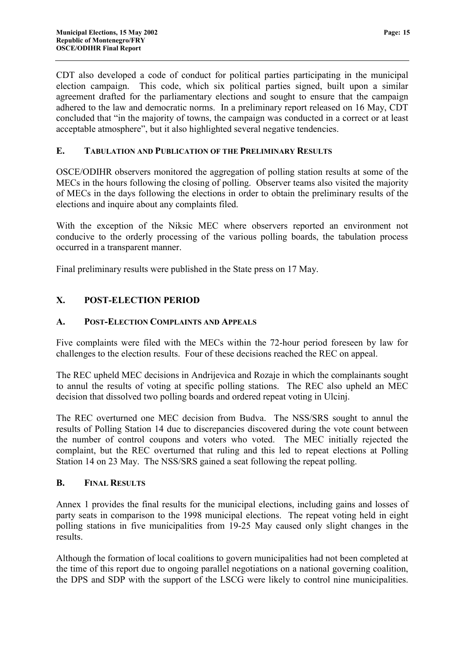<span id="page-16-0"></span>CDT also developed a code of conduct for political parties participating in the municipal election campaign. This code, which six political parties signed, built upon a similar agreement drafted for the parliamentary elections and sought to ensure that the campaign adhered to the law and democratic norms. In a preliminary report released on 16 May, CDT concluded that "in the majority of towns, the campaign was conducted in a correct or at least acceptable atmosphere", but it also highlighted several negative tendencies.

#### **E. TABULATION AND PUBLICATION OF THE PRELIMINARY RESULTS**

OSCE/ODIHR observers monitored the aggregation of polling station results at some of the MECs in the hours following the closing of polling. Observer teams also visited the majority of MECs in the days following the elections in order to obtain the preliminary results of the elections and inquire about any complaints filed.

With the exception of the Niksic MEC where observers reported an environment not conducive to the orderly processing of the various polling boards, the tabulation process occurred in a transparent manner.

Final preliminary results were published in the State press on 17 May.

#### **X. POST-ELECTION PERIOD**

#### **A. POST-ELECTION COMPLAINTS AND APPEALS**

Five complaints were filed with the MECs within the 72-hour period foreseen by law for challenges to the election results. Four of these decisions reached the REC on appeal.

The REC upheld MEC decisions in Andrijevica and Rozaje in which the complainants sought to annul the results of voting at specific polling stations. The REC also upheld an MEC decision that dissolved two polling boards and ordered repeat voting in Ulcinj.

The REC overturned one MEC decision from Budva. The NSS/SRS sought to annul the results of Polling Station 14 due to discrepancies discovered during the vote count between the number of control coupons and voters who voted. The MEC initially rejected the complaint, but the REC overturned that ruling and this led to repeat elections at Polling Station 14 on 23 May. The NSS/SRS gained a seat following the repeat polling.

#### **B. FINAL RESULTS**

Annex 1 provides the final results for the municipal elections, including gains and losses of party seats in comparison to the 1998 municipal elections. The repeat voting held in eight polling stations in five municipalities from 19-25 May caused only slight changes in the results.

Although the formation of local coalitions to govern municipalities had not been completed at the time of this report due to ongoing parallel negotiations on a national governing coalition, the DPS and SDP with the support of the LSCG were likely to control nine municipalities.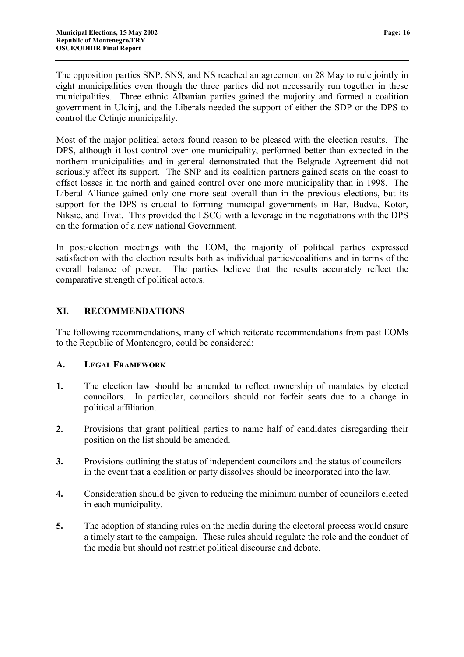<span id="page-17-0"></span>The opposition parties SNP, SNS, and NS reached an agreement on 28 May to rule jointly in eight municipalities even though the three parties did not necessarily run together in these municipalities. Three ethnic Albanian parties gained the majority and formed a coalition government in Ulcinj, and the Liberals needed the support of either the SDP or the DPS to control the Cetinje municipality.

Most of the major political actors found reason to be pleased with the election results. The DPS, although it lost control over one municipality, performed better than expected in the northern municipalities and in general demonstrated that the Belgrade Agreement did not seriously affect its support. The SNP and its coalition partners gained seats on the coast to offset losses in the north and gained control over one more municipality than in 1998. The Liberal Alliance gained only one more seat overall than in the previous elections, but its support for the DPS is crucial to forming municipal governments in Bar, Budva, Kotor, Niksic, and Tivat. This provided the LSCG with a leverage in the negotiations with the DPS on the formation of a new national Government.

In post-election meetings with the EOM, the majority of political parties expressed satisfaction with the election results both as individual parties/coalitions and in terms of the overall balance of power. The parties believe that the results accurately reflect the comparative strength of political actors.

#### **XI. RECOMMENDATIONS**

The following recommendations, many of which reiterate recommendations from past EOMs to the Republic of Montenegro, could be considered:

#### **A. LEGAL FRAMEWORK**

- **1.** The election law should be amended to reflect ownership of mandates by elected councilors. In particular, councilors should not forfeit seats due to a change in political affiliation.
- **2.** Provisions that grant political parties to name half of candidates disregarding their position on the list should be amended.
- **3.** Provisions outlining the status of independent councilors and the status of councilors in the event that a coalition or party dissolves should be incorporated into the law.
- **4.** Consideration should be given to reducing the minimum number of councilors elected in each municipality.
- **5.** The adoption of standing rules on the media during the electoral process would ensure a timely start to the campaign. These rules should regulate the role and the conduct of the media but should not restrict political discourse and debate.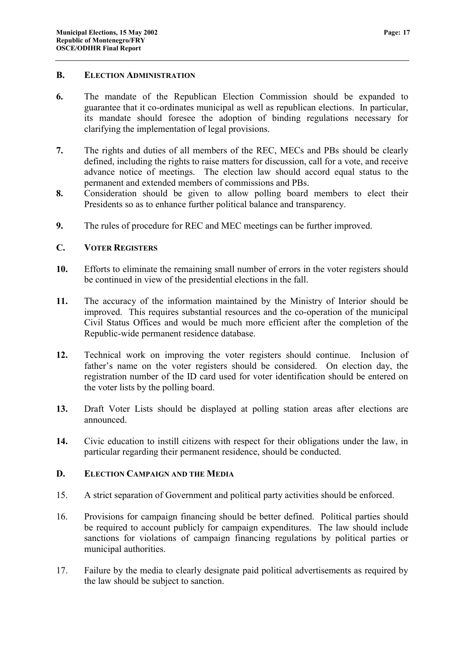#### <span id="page-18-0"></span>**B. ELECTION ADMINISTRATION**

- **6.** The mandate of the Republican Election Commission should be expanded to guarantee that it co-ordinates municipal as well as republican elections. In particular, its mandate should foresee the adoption of binding regulations necessary for clarifying the implementation of legal provisions.
- **7.** The rights and duties of all members of the REC, MECs and PBs should be clearly defined, including the rights to raise matters for discussion, call for a vote, and receive advance notice of meetings. The election law should accord equal status to the permanent and extended members of commissions and PBs.
- **8.** Consideration should be given to allow polling board members to elect their Presidents so as to enhance further political balance and transparency.
- **9.** The rules of procedure for REC and MEC meetings can be further improved.

#### **C. VOTER REGISTERS**

- **10.** Efforts to eliminate the remaining small number of errors in the voter registers should be continued in view of the presidential elections in the fall.
- **11.** The accuracy of the information maintained by the Ministry of Interior should be improved. This requires substantial resources and the co-operation of the municipal Civil Status Offices and would be much more efficient after the completion of the Republic-wide permanent residence database.
- **12.** Technical work on improving the voter registers should continue. Inclusion of father's name on the voter registers should be considered. On election day, the registration number of the ID card used for voter identification should be entered on the voter lists by the polling board.
- **13.** Draft Voter Lists should be displayed at polling station areas after elections are announced.
- **14.** Civic education to instill citizens with respect for their obligations under the law, in particular regarding their permanent residence, should be conducted.

#### **D. ELECTION CAMPAIGN AND THE MEDIA**

- 15. A strict separation of Government and political party activities should be enforced.
- 16. Provisions for campaign financing should be better defined. Political parties should be required to account publicly for campaign expenditures. The law should include sanctions for violations of campaign financing regulations by political parties or municipal authorities.
- 17. Failure by the media to clearly designate paid political advertisements as required by the law should be subject to sanction.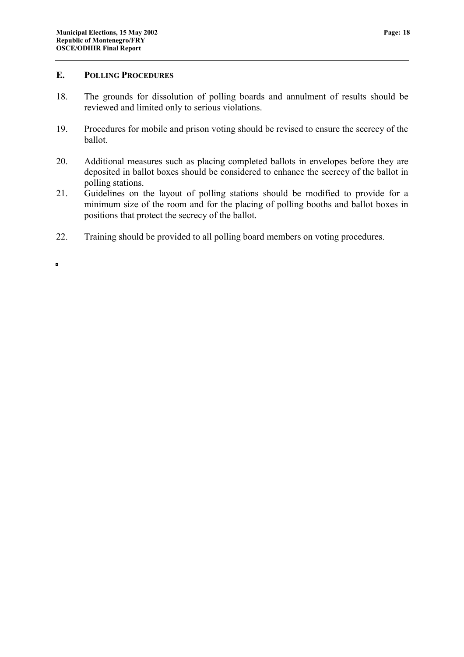#### <span id="page-19-0"></span>**E. POLLING PROCEDURES**

- 18. The grounds for dissolution of polling boards and annulment of results should be reviewed and limited only to serious violations.
- 19. Procedures for mobile and prison voting should be revised to ensure the secrecy of the ballot.
- 20. Additional measures such as placing completed ballots in envelopes before they are deposited in ballot boxes should be considered to enhance the secrecy of the ballot in polling stations.
- 21. Guidelines on the layout of polling stations should be modified to provide for a minimum size of the room and for the placing of polling booths and ballot boxes in positions that protect the secrecy of the ballot.
- 22. Training should be provided to all polling board members on voting procedures.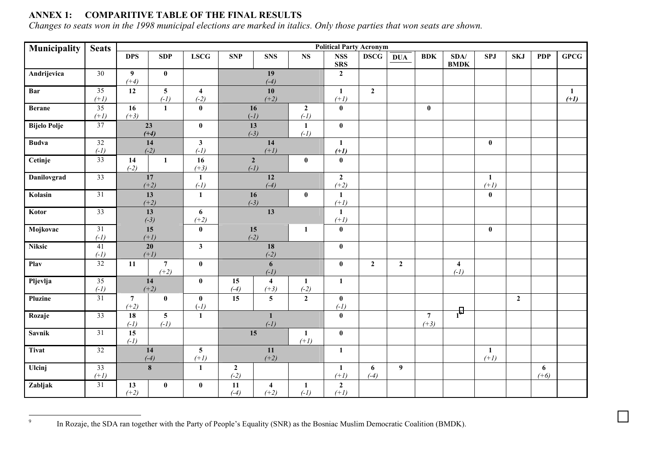#### **ANNEX 1: COMPARITIVE TABLE OF THE FINAL RESULTS**

*Changes to seats won in the 1998 municipal elections are marked in italics. Only those parties that won seats are shown.* 

| Municipality        | <b>Seats</b>              | <b>Political Party Acronym</b>            |                           |                                   |                                        |                                   |                          |                          |              |                          |                        |                         |            |                |                        |      |
|---------------------|---------------------------|-------------------------------------------|---------------------------|-----------------------------------|----------------------------------------|-----------------------------------|--------------------------|--------------------------|--------------|--------------------------|------------------------|-------------------------|------------|----------------|------------------------|------|
|                     |                           | <b>DPS</b>                                | <b>SDP</b>                | <b>LSCG</b>                       | <b>SNP</b>                             | <b>SNS</b>                        | <b>NS</b>                | <b>NSS</b><br><b>SRS</b> | <b>DSCG</b>  | <b>DUA</b>               | <b>BDK</b>             | SDA/<br><b>BMDK</b>     | <b>SPJ</b> | <b>SKJ</b>     | <b>PDP</b>             | GPCG |
| Andrijevica         | $\overline{30}$           | $\boldsymbol{9}$                          | $\bf{0}$                  |                                   |                                        | 19                                |                          | $\boldsymbol{2}$         |              |                          |                        |                         |            |                |                        |      |
|                     |                           | $(+4)$                                    |                           |                                   | $(-4)$                                 |                                   |                          |                          |              |                          |                        |                         |            |                |                        |      |
| Bar                 | 35<br>$(+1)$              | 12                                        | $5\overline{)}$<br>$(-1)$ | $\overline{\mathbf{4}}$<br>$(-2)$ | 10<br>$(+2)$                           |                                   | $\mathbf{1}$<br>$(+1)$   | $\overline{2}$           |              |                          |                        |                         |            |                | $\mathbf{1}$<br>$(+1)$ |      |
| <b>Berane</b>       | $\overline{35}$           | 16                                        | $\mathbf{1}$              | $\boldsymbol{0}$                  | 16<br>$\overline{2}$                   |                                   | $\bf{0}$                 |                          |              | $\bf{0}$                 |                        |                         |            |                |                        |      |
|                     | $(+3)$<br>$(+1)$          |                                           |                           |                                   | $(-1)$                                 |                                   | $(-1)$                   |                          |              |                          |                        |                         |            |                |                        |      |
| <b>Bijelo Polje</b> | $\overline{37}$           | 23<br>$(+4)$                              |                           | $\pmb{0}$                         | 13<br>$\mathbf{1}$<br>$(-3)$<br>$(-1)$ |                                   | $\pmb{0}$                |                          |              |                          |                        |                         |            |                |                        |      |
| <b>Budva</b>        | 32                        | 14                                        |                           | $\mathbf{3}$                      | 14                                     |                                   | $\mathbf{1}$             |                          |              |                          |                        | $\bf{0}$                |            |                |                        |      |
|                     | $(-1)$                    | $(-2)$                                    |                           | $(-1)$                            | $(+1)$                                 |                                   | $(+1)$                   |                          |              |                          |                        |                         |            |                |                        |      |
| Cetinje             | 33                        | 14<br>$\mathbf{1}$<br>$(-2)$              |                           | 16<br>$(+3)$                      | $\boldsymbol{2}$<br>$\bf{0}$<br>$(-1)$ |                                   |                          | $\pmb{0}$                |              |                          |                        |                         |            |                |                        |      |
| Danilovgrad         | 33                        | 17<br>$(+2)$                              |                           | $\mathbf{1}$<br>$(-1)$            | 12<br>$(-4)$                           |                                   | $\mathbf{2}$<br>$(+2)$   |                          |              |                          |                        | $\mathbf{1}$<br>$(+1)$  |            |                |                        |      |
| Kolasin             | $\overline{31}$           | 13<br>$(+2)$                              |                           | $\mathbf{1}$                      |                                        | 16<br>$(-3)$                      | $\bf{0}$                 | $\mathbf{1}$<br>$(+1)$   |              |                          |                        |                         | $\bf{0}$   |                |                        |      |
| Kotor               | 33                        | 13<br>$(-3)$                              |                           | $\boldsymbol{6}$<br>$(+2)$        |                                        | 13                                |                          | $\mathbf{1}$<br>$(+1)$   |              |                          |                        |                         |            |                |                        |      |
| Mojkovac            | 31<br>$(-1)$              | 15                                        |                           | $\pmb{0}$                         |                                        | 15<br>$(-2)$                      | $\mathbf{1}$             | $\bf{0}$                 |              |                          |                        |                         | $\bf{0}$   |                |                        |      |
| <b>Niksic</b>       | 41                        | $(+1)$<br>$20\,$                          |                           | $\mathbf{3}$                      |                                        | 18                                |                          | $\pmb{0}$                |              |                          |                        |                         |            |                |                        |      |
| Play                | $(-1)$<br>$\overline{32}$ | $(+1)$<br>$\overline{7}$<br>11            |                           | $\bf{0}$                          |                                        | $(-2)$<br>$\boldsymbol{6}$        |                          | $\pmb{0}$                | $\mathbf{2}$ | $\overline{2}$           |                        | $\overline{\mathbf{4}}$ |            |                |                        |      |
| Pljevlja            | 35                        | $(+2)$<br>14                              |                           | $\pmb{0}$                         | 15                                     | $(-1)$<br>$\overline{\mathbf{4}}$ | $\mathbf{1}$             | $\mathbf{1}$             |              |                          |                        | $(-1)$                  |            |                |                        |      |
| Pluzine             | $(-1)$<br>31              | $\overline{7}$                            | $(+2)$<br>$\bf{0}$        | $\bf{0}$                          | $(-4)$<br>15                           | $(+3)$<br>$5\phantom{.0}$         | $(-2)$<br>$\overline{2}$ | $\mathbf{0}$             |              |                          |                        |                         |            | $\overline{2}$ |                        |      |
|                     |                           | $(+2)$                                    |                           | $(-1)$                            |                                        |                                   |                          | $(-1)$                   |              |                          |                        |                         |            |                |                        |      |
| Rozaje              | 33                        | 18<br>$(-1)$                              | $5\overline{)}$<br>$(-1)$ | $\mathbf{1}$                      | $\mathbf{1}$<br>$(-1)$                 |                                   | $\bf{0}$                 |                          |              | $\overline{7}$<br>$(+3)$ | 1 <sup>9</sup>         |                         |            |                |                        |      |
| <b>Savnik</b>       | $\overline{31}$           | 15<br>$(-1)$                              |                           |                                   | 15<br>1<br>$(+1)$                      |                                   | $\mathbf{0}$             |                          |              |                          |                        |                         |            |                |                        |      |
| <b>Tivat</b>        | 32                        | $5\overline{)}$<br>14<br>$(-4)$<br>$(+1)$ |                           | 11<br>$(+2)$                      |                                        | $\mathbf{1}$                      |                          |                          |              |                          | $\mathbf{1}$<br>$(+1)$ |                         |            |                |                        |      |
| <b>Ulcinj</b>       | $\overline{33}$<br>$(+1)$ |                                           | $\bf{8}$                  | $\mathbf{1}$                      | $\mathbf{2}$<br>$(-2)$                 |                                   |                          | $\mathbf{1}$<br>$(+1)$   | 6<br>$(-4)$  | 9                        |                        |                         |            |                | 6<br>$(+6)$            |      |
| Zabljak             | 31                        | 13<br>$(+2)$                              | $\bf{0}$                  | $\bf{0}$                          | 11<br>$(-4)$                           | $\overline{\mathbf{4}}$<br>$(+2)$ | $\mathbf{1}$<br>$(-1)$   | $\mathbf{2}$<br>$(+1)$   |              |                          |                        |                         |            |                |                        |      |

<sup>&</sup>lt;sup>9</sup> In Rozaje, the SDA ran together with the Party of People's Equality (SNR) as the Bosniac Muslim Democratic Coalition (BMDK).